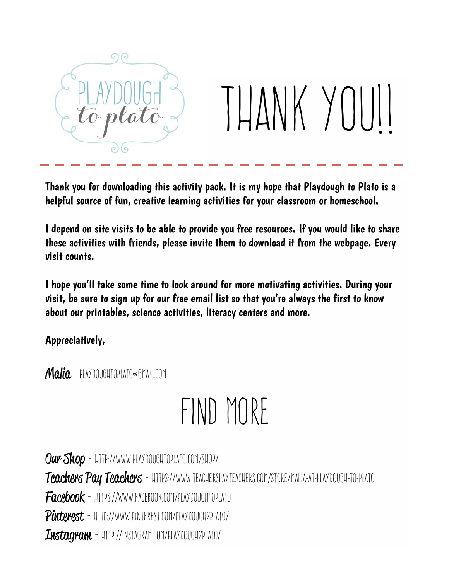

Thank you for downloading this activity pack. It is my hope that Playdough to Plato is a helpful source of fun, creative learning activities for your classroom or homeschool.

I depend on site visits to be able to provide you free resources. If you would like to share these activities with friends, please invite them to download it from the webpage. Every visit counts.

I hope you'll take some time to look around for more motivating activities. During your visit, be sure to sign up for our free email list so that you're always the first to know about our printables, science activities, literacy centers and more.

Appreciatively,

## Malia playdoughtoplato@gmail.com

## FIND MORE

Our Shop - HTTP://WWW.PLAYDOUGHTOPLATO.COM/SHOP/

Teachers Pay Teachers - HTTPS://WWW.TEACHERSPAYTEACHERS.COM/STORE/MALIA-AT-PLAYDOUGH-TO-PLATO

Facebook - https://www.facebook.com/PlaydoughToPlato

Pinterest - http://www.pinterest.com/Playdough2Plato/

 $\overline{L}$ ustagram - HTTP://instagram.com/playdough2plato/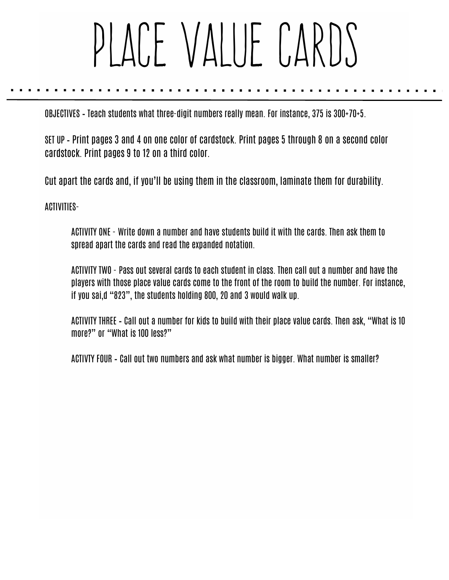## PLACE VALUE CARDS

OBJECTIVES – Teach students what three-digit numbers really mean. For instance, 375 is 300+70+5.

SET UP – Print pages 3 and 4 on one color of cardstock. Print pages 5 through 8 on a second color cardstock. Print pages 9 to 12 on a third color.

Cut apart the cards and, if you'll be using them in the classroom, laminate them for durability.

ACTIVITIES-

ACTIVITY ONE - Write down a number and have students build it with the cards. Then ask them to spread apart the cards and read the expanded notation.

ACTIVITY TWO - Pass out several cards to each student in class. Then call out a number and have the players with those place value cards come to the front of the room to build the number. For instance, if you sai,d "823", the students holding 800, 20 and 3 would walk up.

ACTIVITY THREE – Call out a number for kids to build with their place value cards. Then ask, "What is 10 more?" or "What is 100 less?"

ACTIVTY FOUR – Call out two numbers and ask what number is bigger. What number is smaller?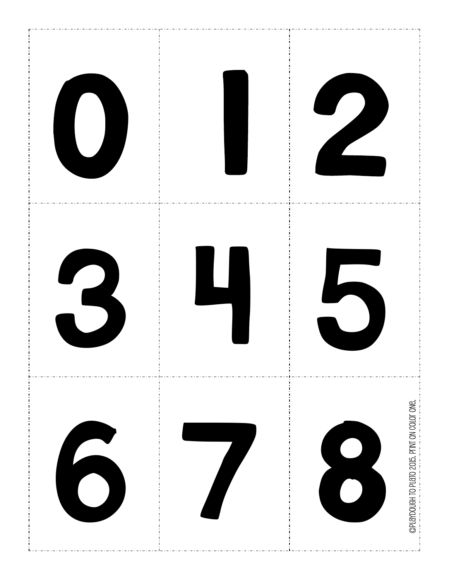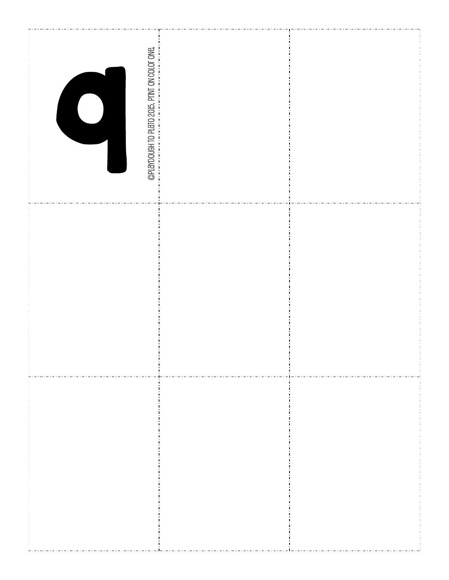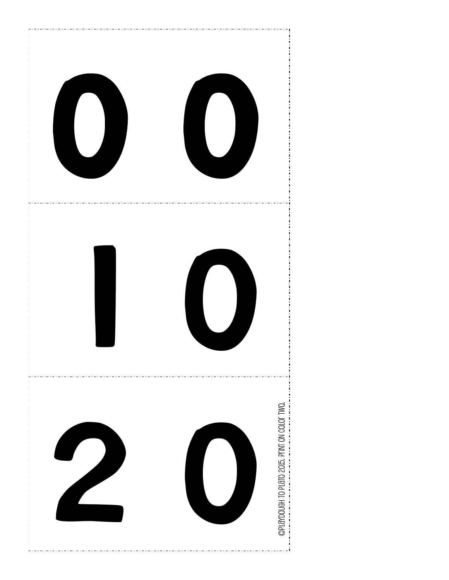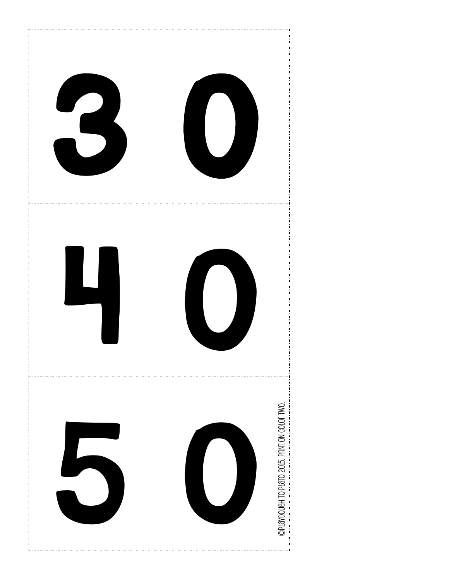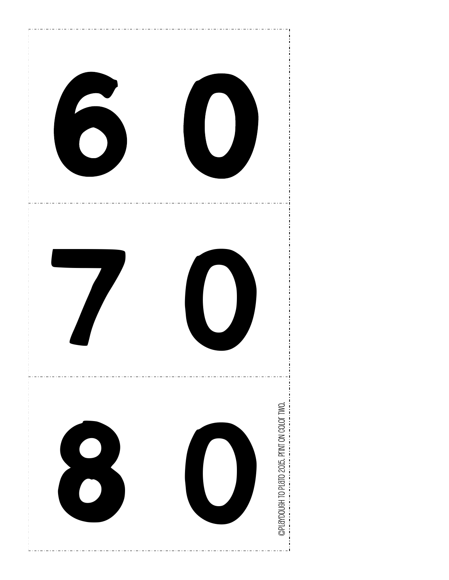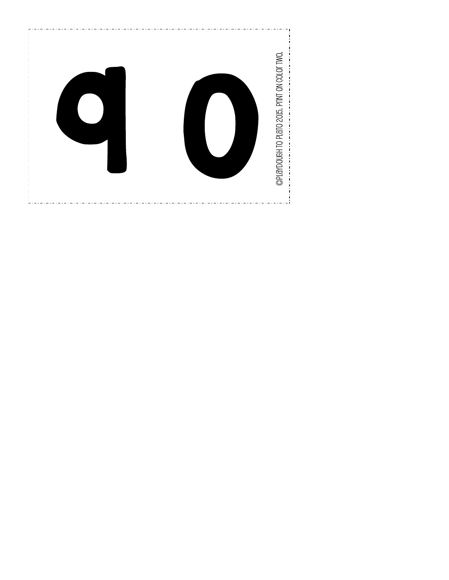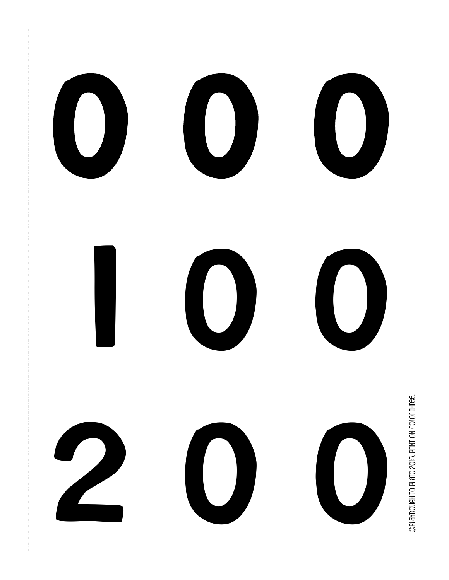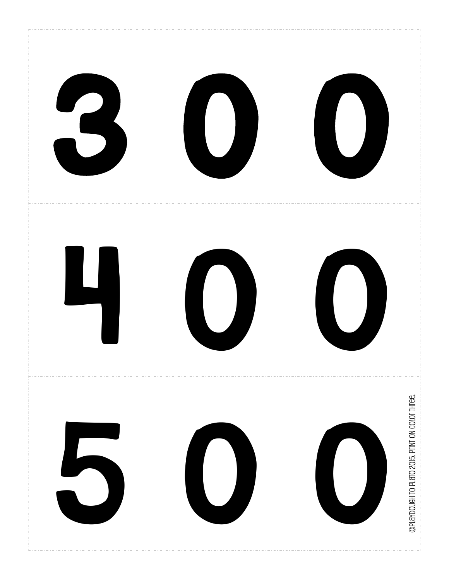![](_page_9_Picture_0.jpeg)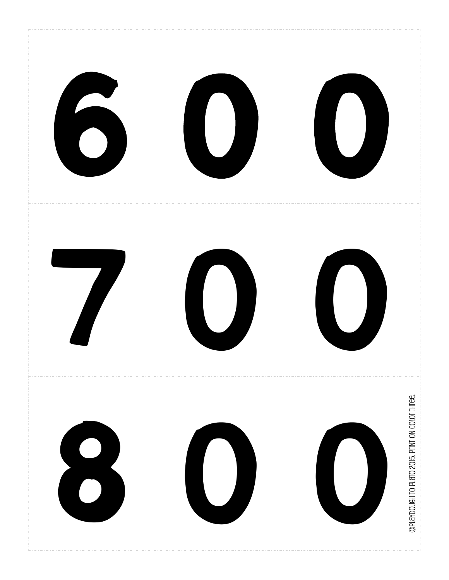![](_page_10_Picture_0.jpeg)